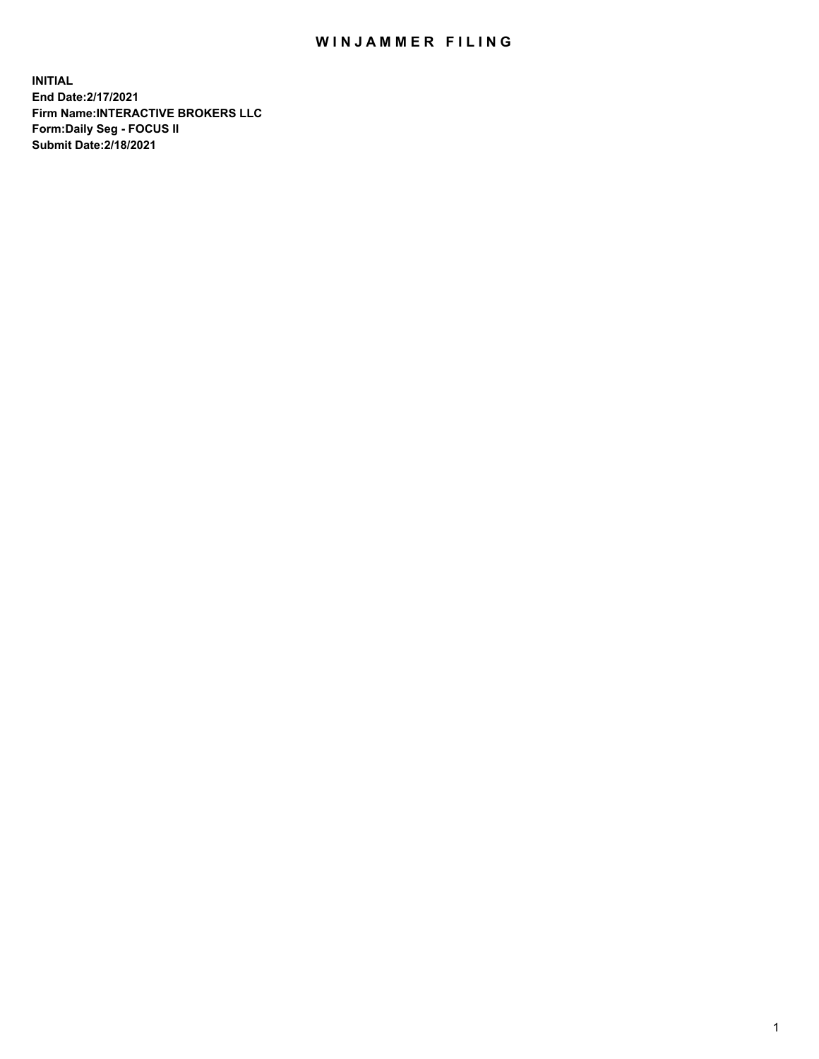## WIN JAMMER FILING

**INITIAL End Date:2/17/2021 Firm Name:INTERACTIVE BROKERS LLC Form:Daily Seg - FOCUS II Submit Date:2/18/2021**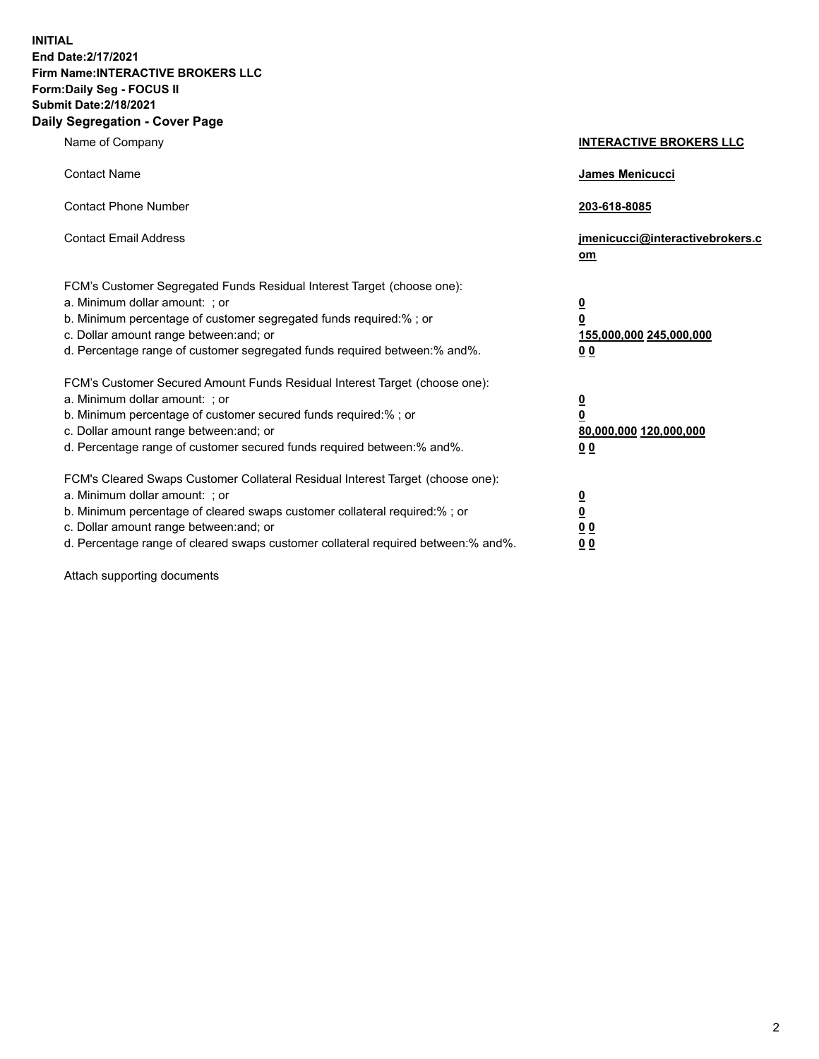**INITIAL End Date:2/17/2021 Firm Name:INTERACTIVE BROKERS LLC Form:Daily Seg - FOCUS II Submit Date:2/18/2021 Daily Segregation - Cover Page**

| Name of Company                                                                                                                                                                                                                                                                                                                | <b>INTERACTIVE BROKERS LLC</b>                                                   |  |
|--------------------------------------------------------------------------------------------------------------------------------------------------------------------------------------------------------------------------------------------------------------------------------------------------------------------------------|----------------------------------------------------------------------------------|--|
| <b>Contact Name</b>                                                                                                                                                                                                                                                                                                            | James Menicucci                                                                  |  |
| <b>Contact Phone Number</b>                                                                                                                                                                                                                                                                                                    | 203-618-8085                                                                     |  |
| <b>Contact Email Address</b>                                                                                                                                                                                                                                                                                                   | jmenicucci@interactivebrokers.c<br>om                                            |  |
| FCM's Customer Segregated Funds Residual Interest Target (choose one):<br>a. Minimum dollar amount: ; or<br>b. Minimum percentage of customer segregated funds required:% ; or<br>c. Dollar amount range between: and; or<br>d. Percentage range of customer segregated funds required between:% and%.                         | <u>0</u><br>$\overline{\mathbf{0}}$<br>155,000,000 245,000,000<br>0 <sub>0</sub> |  |
| FCM's Customer Secured Amount Funds Residual Interest Target (choose one):<br>a. Minimum dollar amount: ; or<br>b. Minimum percentage of customer secured funds required:% ; or<br>c. Dollar amount range between: and; or<br>d. Percentage range of customer secured funds required between:% and%.                           | <u>0</u><br>$\overline{\mathbf{0}}$<br>80,000,000 120,000,000<br>0 <sub>0</sub>  |  |
| FCM's Cleared Swaps Customer Collateral Residual Interest Target (choose one):<br>a. Minimum dollar amount: ; or<br>b. Minimum percentage of cleared swaps customer collateral required:% ; or<br>c. Dollar amount range between: and; or<br>d. Percentage range of cleared swaps customer collateral required between:% and%. | <u>0</u><br>$\underline{\mathbf{0}}$<br>0 <sub>0</sub><br>0 <sub>0</sub>         |  |

Attach supporting documents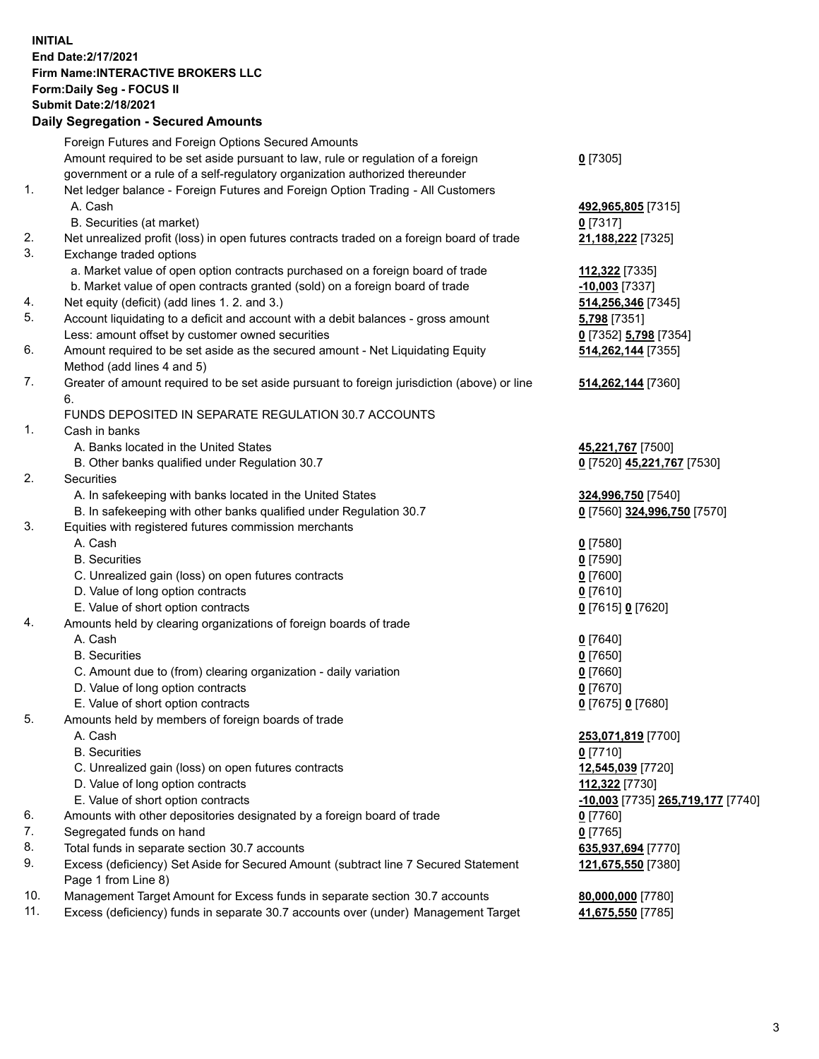**INITIAL End Date:2/17/2021 Firm Name:INTERACTIVE BROKERS LLC Form:Daily Seg - FOCUS II Submit Date:2/18/2021 Daily Segregation - Secured Amounts**

## Foreign Futures and Foreign Options Secured Amounts Amount required to be set aside pursuant to law, rule or regulation of a foreign government or a rule of a self-regulatory organization authorized thereunder **0** [7305] 1. Net ledger balance - Foreign Futures and Foreign Option Trading - All Customers A. Cash **492,965,805** [7315] B. Securities (at market) **0** [7317] 2. Net unrealized profit (loss) in open futures contracts traded on a foreign board of trade **21,188,222** [7325] 3. Exchange traded options a. Market value of open option contracts purchased on a foreign board of trade **112,322** [7335] b. Market value of open contracts granted (sold) on a foreign board of trade **-10,003** [7337] 4. Net equity (deficit) (add lines 1. 2. and 3.) **514,256,346** [7345] 5. Account liquidating to a deficit and account with a debit balances - gross amount **5,798** [7351] Less: amount offset by customer owned securities **0** [7352] **5,798** [7354] 6. Amount required to be set aside as the secured amount - Net Liquidating Equity Method (add lines 4 and 5) **514,262,144** [7355] 7. Greater of amount required to be set aside pursuant to foreign jurisdiction (above) or line 6. **514,262,144** [7360] FUNDS DEPOSITED IN SEPARATE REGULATION 30.7 ACCOUNTS 1. Cash in banks A. Banks located in the United States **45,221,767** [7500] B. Other banks qualified under Regulation 30.7 **0** [7520] **45,221,767** [7530] 2. Securities A. In safekeeping with banks located in the United States **324,996,750** [7540] B. In safekeeping with other banks qualified under Regulation 30.7 **0** [7560] **324,996,750** [7570] 3. Equities with registered futures commission merchants A. Cash **0** [7580] B. Securities **0** [7590] C. Unrealized gain (loss) on open futures contracts **0** [7600] D. Value of long option contracts **0** [7610] E. Value of short option contracts **0** [7615] **0** [7620] 4. Amounts held by clearing organizations of foreign boards of trade A. Cash **0** [7640] B. Securities **0** [7650] C. Amount due to (from) clearing organization - daily variation **0** [7660] D. Value of long option contracts **0** [7670] E. Value of short option contracts **0** [7675] **0** [7680] 5. Amounts held by members of foreign boards of trade A. Cash **253,071,819** [7700] B. Securities **0** [7710] C. Unrealized gain (loss) on open futures contracts **12,545,039** [7720] D. Value of long option contracts **112,322** [7730] E. Value of short option contracts **-10,003** [7735] **265,719,177** [7740] 6. Amounts with other depositories designated by a foreign board of trade **0** [7760] 7. Segregated funds on hand **0** [7765] 8. Total funds in separate section 30.7 accounts **635,937,694** [7770] 9. Excess (deficiency) Set Aside for Secured Amount (subtract line 7 Secured Statement Page 1 from Line 8) **121,675,550** [7380] 10. Management Target Amount for Excess funds in separate section 30.7 accounts **80,000,000** [7780] 11. Excess (deficiency) funds in separate 30.7 accounts over (under) Management Target **41,675,550** [7785]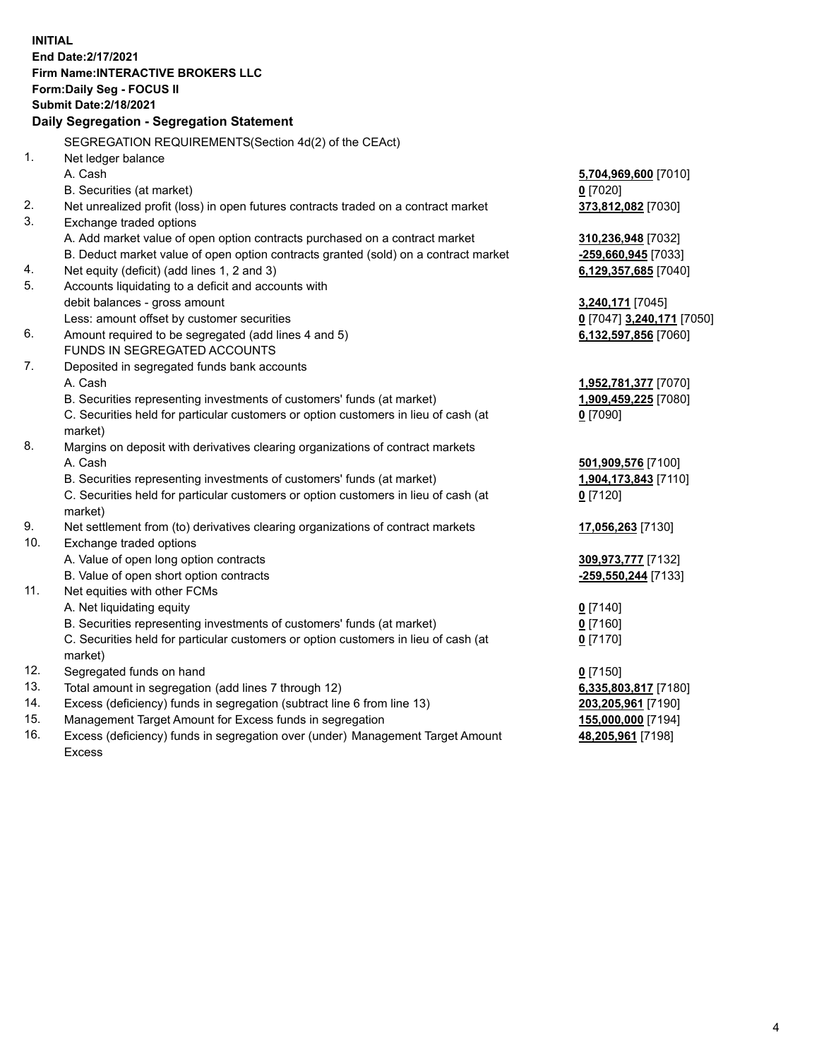**INITIAL End Date:2/17/2021 Firm Name:INTERACTIVE BROKERS LLC Form:Daily Seg - FOCUS II Submit Date:2/18/2021 Daily Segregation - Segregation Statement** SEGREGATION REQUIREMENTS(Section 4d(2) of the CEAct) 1. Net ledger balance A. Cash **5,704,969,600** [7010] B. Securities (at market) **0** [7020] 2. Net unrealized profit (loss) in open futures contracts traded on a contract market **373,812,082** [7030] 3. Exchange traded options A. Add market value of open option contracts purchased on a contract market **310,236,948** [7032] B. Deduct market value of open option contracts granted (sold) on a contract market **-259,660,945** [7033] 4. Net equity (deficit) (add lines 1, 2 and 3) **6,129,357,685** [7040] 5. Accounts liquidating to a deficit and accounts with debit balances - gross amount **3,240,171** [7045] Less: amount offset by customer securities **0** [7047] **3,240,171** [7050] 6. Amount required to be segregated (add lines 4 and 5) **6,132,597,856** [7060] FUNDS IN SEGREGATED ACCOUNTS 7. Deposited in segregated funds bank accounts A. Cash **1,952,781,377** [7070] B. Securities representing investments of customers' funds (at market) **1,909,459,225** [7080] C. Securities held for particular customers or option customers in lieu of cash (at market) **0** [7090] 8. Margins on deposit with derivatives clearing organizations of contract markets A. Cash **501,909,576** [7100] B. Securities representing investments of customers' funds (at market) **1,904,173,843** [7110] C. Securities held for particular customers or option customers in lieu of cash (at market) **0** [7120] 9. Net settlement from (to) derivatives clearing organizations of contract markets **17,056,263** [7130] 10. Exchange traded options A. Value of open long option contracts **309,973,777** [7132] B. Value of open short option contracts **-259,550,244** [7133] 11. Net equities with other FCMs A. Net liquidating equity **0** [7140] B. Securities representing investments of customers' funds (at market) **0** [7160] C. Securities held for particular customers or option customers in lieu of cash (at market) **0** [7170] 12. Segregated funds on hand **0** [7150] 13. Total amount in segregation (add lines 7 through 12) **6,335,803,817** [7180] 14. Excess (deficiency) funds in segregation (subtract line 6 from line 13) **203,205,961** [7190] 15. Management Target Amount for Excess funds in segregation **155,000,000** [7194] 16. Excess (deficiency) funds in segregation over (under) Management Target Amount **48,205,961** [7198]

Excess